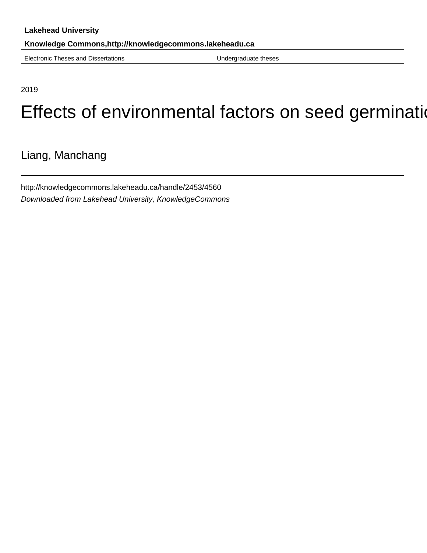Electronic Theses and Dissertations **Electronic Theses** and Dissertations

2019

# Effects of environmental factors on seed germination

Liang, Manchang

http://knowledgecommons.lakeheadu.ca/handle/2453/4560 Downloaded from Lakehead University, KnowledgeCommons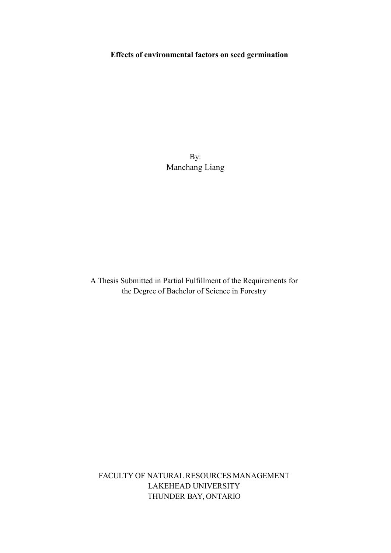# **Effects of environmental factors on seed germination**

By: Manchang Liang

A Thesis Submitted in Partial Fulfillment of the Requirements for the Degree of Bachelor of Science in Forestry

FACULTY OF NATURAL RESOURCES MANAGEMENT LAKEHEAD UNIVERSITY THUNDER BAY, ONTARIO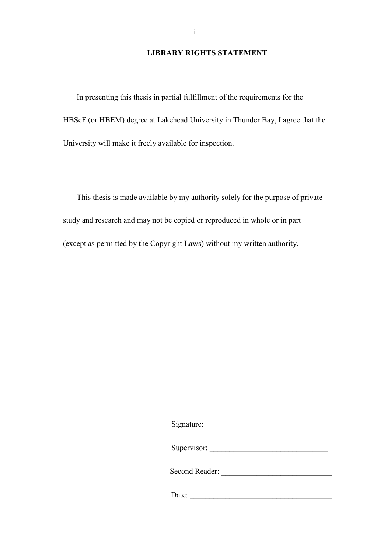## **LIBRARY RIGHTS STATEMENT**

In presenting this thesis in partial fulfillment of the requirements for the HBScF (or HBEM) degree at Lakehead University in Thunder Bay, I agree that the University will make it freely available for inspection.

This thesis is made available by my authority solely for the purpose of private study and research and may not be copied or reproduced in whole or in part (except as permitted by the Copyright Laws) without my written authority.

Signature:

| Supervisor:    |  |
|----------------|--|
| Second Reader: |  |

Date: \_\_\_\_\_\_\_\_\_\_\_\_\_\_\_\_\_\_\_\_\_\_\_\_\_\_\_\_\_\_\_\_\_\_\_\_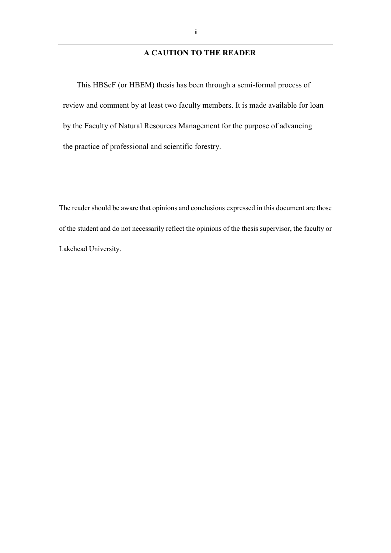# **A CAUTION TO THE READER**

This HBScF (or HBEM) thesis has been through a semi-formal process of review and comment by at least two faculty members. It is made available for loan by the Faculty of Natural Resources Management for the purpose of advancing the practice of professional and scientific forestry.

The reader should be aware that opinions and conclusions expressed in this document are those of the student and do not necessarily reflect the opinions of the thesis supervisor, the faculty or Lakehead University.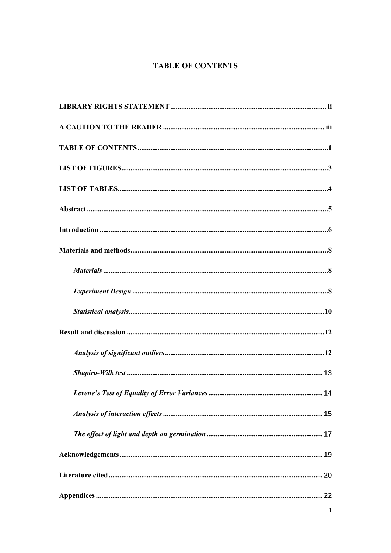# **TABLE OF CONTENTS**

<span id="page-4-0"></span>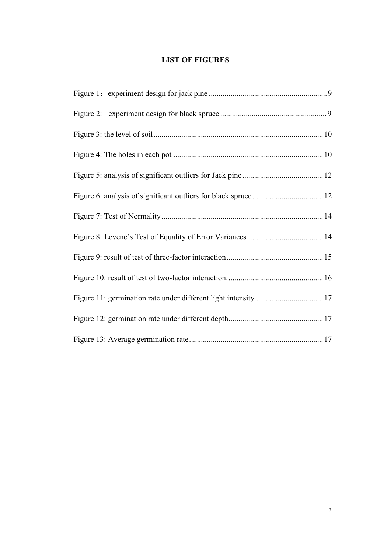# **LIST OF FIGURES**

<span id="page-6-0"></span>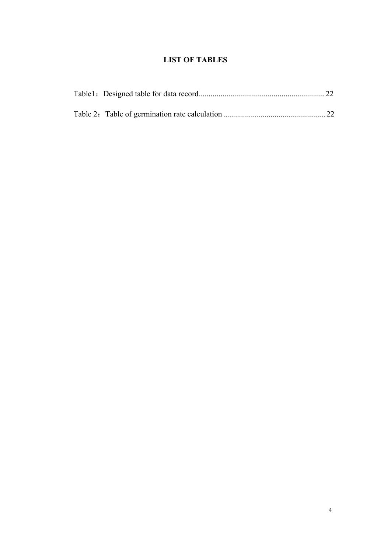# **LIST OF TABLES**

<span id="page-7-0"></span>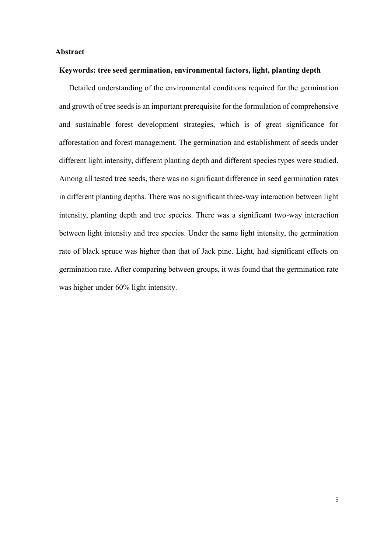#### **Abstract**

#### **Keywords: tree seed germination, environmental factors, light, planting depth**

Detailed understanding of the environmental conditions required for the germination and growth of tree seeds is an important prerequisite for the formulation of comprehensive and sustainable forest development strategies, which is of great significance for afforestation and forest management. The germination and establishment of seeds under different light intensity, different planting depth and different species types were studied. Among all tested tree seeds, there was no significant difference in seed germination rates in different planting depths. There was no significant three-way interaction between light intensity, planting depth and tree species. There was a significant two-way interaction between light intensity and tree species. Under the same light intensity, the germination rate of black spruce was higher than that of Jack pine. Light, had significant effects on germination rate. After comparing between groups, it was found that the germination rate was higher under 60% light intensity.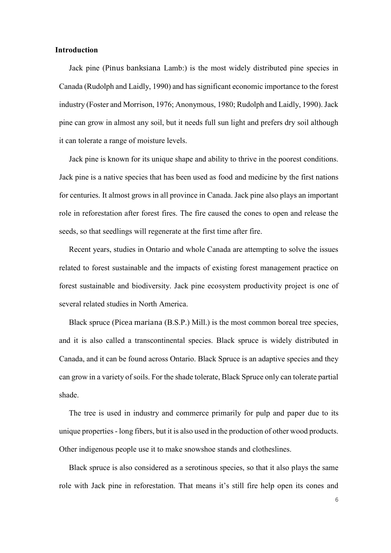#### **Introduction**

Jack pine (Pinus banksiana Lamb:) is the most widely distributed pine species in Canada (Rudolph and Laidly, 1990) and has significant economic importance to the forest industry (Foster and Morrison, 1976; Anonymous, 1980; Rudolph and Laidly, 1990). Jack pine can grow in almost any soil, but it needs full sun light and prefers dry soil although it can tolerate a range of moisture levels.

Jack pine is known for its unique shape and ability to thrive in the poorest conditions. Jack pine is a native species that has been used as food and medicine by the first nations for centuries. It almost grows in all province in Canada. Jack pine also plays an important role in reforestation after forest fires. The fire caused the cones to open and release the seeds, so that seedlings will regenerate at the first time after fire.

Recent years, studies in Ontario and whole Canada are attempting to solve the issues related to forest sustainable and the impacts of existing forest management practice on forest sustainable and biodiversity. Jack pine ecosystem productivity project is one of several related studies in North America.

Black spruce (Picea mariana (B.S.P.) Mill.) is the most common boreal tree species, and it is also called a transcontinental species. Black spruce is widely distributed in Canada, and it can be found across Ontario. Black Spruce is an adaptive species and they can grow in a variety of soils. For the shade tolerate, Black Spruce only can tolerate partial shade.

The tree is used in industry and commerce primarily for pulp and paper due to its unique properties - long fibers, but it is also used in the production of other wood products. Other indigenous people use it to make snowshoe stands and clotheslines.

Black spruce is also considered as a serotinous species, so that it also plays the same role with Jack pine in reforestation. That means it's still fire help open its cones and

6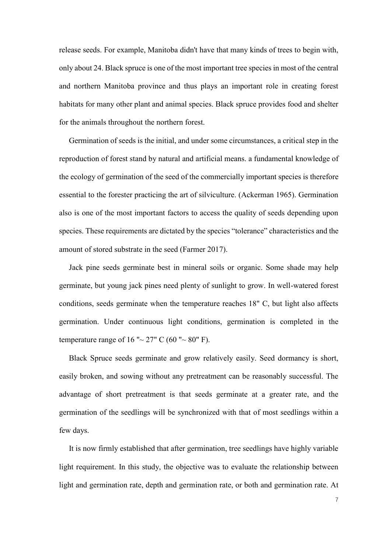release seeds. For example, Manitoba didn't have that many kinds of trees to begin with, only about 24. Black spruce is one of the most important tree species in most of the central and northern Manitoba province and thus plays an important role in creating forest habitats for many other plant and animal species. Black spruce provides food and shelter for the animals throughout the northern forest.

Germination of seeds is the initial, and under some circumstances, a critical step in the reproduction of forest stand by natural and artificial means. a fundamental knowledge of the ecology of germination of the seed of the commercially important species is therefore essential to the forester practicing the art of silviculture. (Ackerman 1965). Germination also is one of the most important factors to access the quality of seeds depending upon species. These requirements are dictated by the species "tolerance" characteristics and the amount of stored substrate in the seed (Farmer 2017).

Jack pine seeds germinate best in mineral soils or organic. Some shade may help germinate, but young jack pines need plenty of sunlight to grow. In well-watered forest conditions, seeds germinate when the temperature reaches 18" C, but light also affects germination. Under continuous light conditions, germination is completed in the temperature range of 16 " $\sim$  27" C (60 " $\sim$  80" F).

Black Spruce seeds germinate and grow relatively easily. Seed dormancy is short, easily broken, and sowing without any pretreatment can be reasonably successful. The advantage of short pretreatment is that seeds germinate at a greater rate, and the germination of the seedlings will be synchronized with that of most seedlings within a few days.

It is now firmly established that after germination, tree seedlings have highly variable light requirement. In this study, the objective was to evaluate the relationship between light and germination rate, depth and germination rate, or both and germination rate. At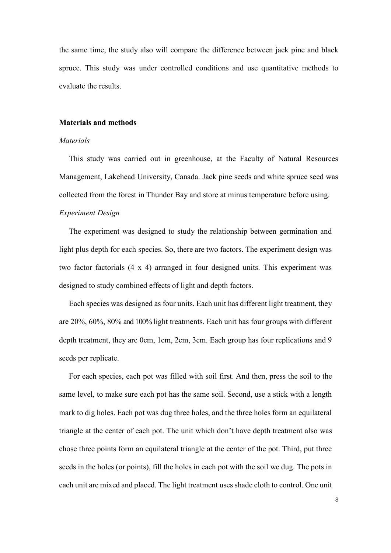the same time, the study also will compare the difference between jack pine and black spruce. This study was under controlled conditions and use quantitative methods to evaluate the results.

## **Materials and methods**

## *Materials*

This study was carried out in greenhouse, at the Faculty of Natural Resources Management, Lakehead University, Canada. Jack pine seeds and white spruce seed was collected from the forest in Thunder Bay and store at minus temperature before using.

# *Experiment Design*

The experiment was designed to study the relationship between germination and light plus depth for each species. So, there are two factors. The experiment design was two factor factorials (4 x 4) arranged in four designed units. This experiment was designed to study combined effects of light and depth factors.

Each species was designed as four units. Each unit has different light treatment, they are 20%, 60%, 80% and 100% light treatments. Each unit has four groups with different depth treatment, they are 0cm, 1cm, 2cm, 3cm. Each group has four replications and 9 seeds per replicate.

For each species, each pot was filled with soil first. And then, press the soil to the same level, to make sure each pot has the same soil. Second, use a stick with a length mark to dig holes. Each pot was dug three holes, and the three holes form an equilateral triangle at the center of each pot. The unit which don't have depth treatment also was chose three points form an equilateral triangle at the center of the pot. Third, put three seeds in the holes (or points), fill the holes in each pot with the soil we dug. The pots in each unit are mixed and placed. The light treatment uses shade cloth to control. One unit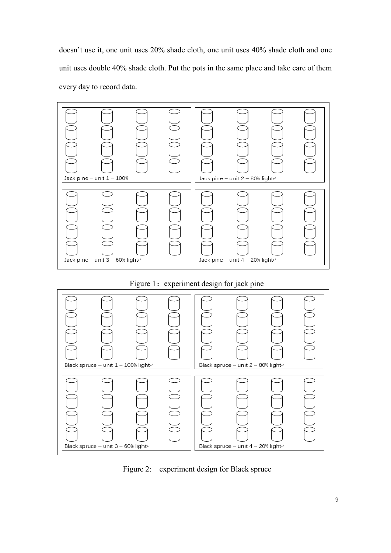doesn't use it, one unit uses 20% shade cloth, one unit uses 40% shade cloth and one unit uses double 40% shade cloth. Put the pots in the same place and take care of them every day to record data.



# Figure 1: experiment design for jack pine



Figure 2: experiment design for Black spruce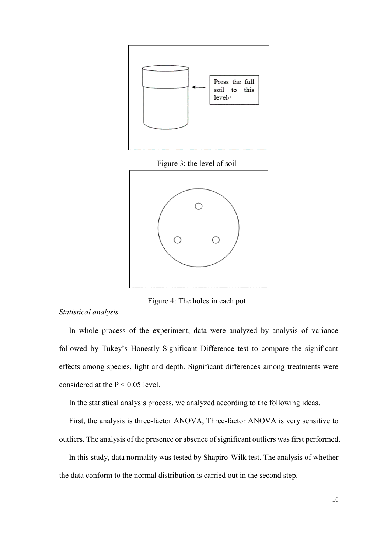

Figure 3: the level of soil



Figure 4: The holes in each pot

*Statistical analysis* 

 In whole process of the experiment, data were analyzed by analysis of variance followed by Tukey's Honestly Significant Difference test to compare the significant effects among species, light and depth. Significant differences among treatments were considered at the  $P < 0.05$  level.

In the statistical analysis process, we analyzed according to the following ideas.

 First, the analysis is three-factor ANOVA, Three-factor ANOVA is very sensitive to outliers. The analysis of the presence or absence of significant outliers was first performed.

In this study, data normality was tested by Shapiro-Wilk test. The analysis of whether the data conform to the normal distribution is carried out in the second step.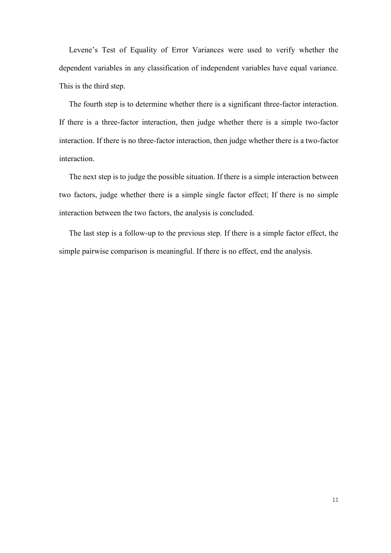Levene's Test of Equality of Error Variances were used to verify whether the dependent variables in any classification of independent variables have equal variance. This is the third step.

 The fourth step is to determine whether there is a significant three-factor interaction. If there is a three-factor interaction, then judge whether there is a simple two-factor interaction. If there is no three-factor interaction, then judge whether there is a two-factor interaction.

 The next step is to judge the possible situation. If there is a simple interaction between two factors, judge whether there is a simple single factor effect; If there is no simple interaction between the two factors, the analysis is concluded.

 The last step is a follow-up to the previous step. If there is a simple factor effect, the simple pairwise comparison is meaningful. If there is no effect, end the analysis.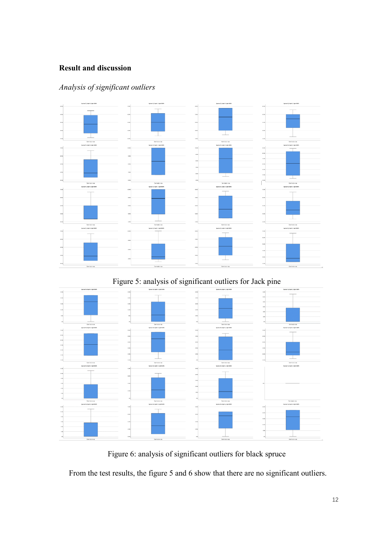# **Result and discussion**

# $\ddot{\phantom{a}}$ . . . . . .  $\overline{a}$  $\overline{a}$ ò  $\bar{x}$  $308$

# *Analysis of significant outliers*

Figure 5: analysis of significant outliers for Jack pine



Figure 6: analysis of significant outliers for black spruce

From the test results, the figure 5 and 6 show that there are no significant outliers.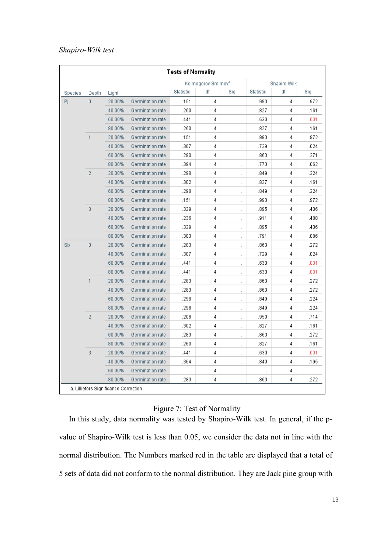## *Shapiro-Wilk test*

| <b>Tests of Normality</b>             |                |        |                  |           |                                 |                      |              |    |      |
|---------------------------------------|----------------|--------|------------------|-----------|---------------------------------|----------------------|--------------|----|------|
|                                       |                |        |                  |           | Kolmogorov-Smirnov <sup>a</sup> |                      | Shapiro-Wilk |    |      |
| Species                               | Depth          | Light  |                  | Statistic | df                              | Sig.                 | Statistic    | df | Siq. |
| Pj.                                   | 0              | 20.00% | Germination rate | .151      | 4                               | t,                   | .993         | 4  | .972 |
|                                       |                | 40.00% | Germination rate | .260      | 4                               |                      | .827         | 4  | .161 |
|                                       |                | 60.00% | Germination rate | .441      | 4                               | ä,                   | .630         | 4  | .001 |
|                                       |                | 80.00% | Germination rate | .260      | 4                               | ÷                    | .827         | 4  | .161 |
|                                       | 1              | 20.00% | Germination rate | .151      | 4                               | ł.                   | .993         | 4  | .972 |
|                                       |                | 40.00% | Germination rate | .307      | 4                               | i,                   | .729         | 4  | .024 |
|                                       |                | 60.00% | Germination rate | .290      | 4                               | i,                   | .863         | 4  | .271 |
|                                       |                | 80.00% | Germination rate | .394      | 4                               |                      | .773         | 4  | .062 |
|                                       | $\overline{2}$ | 20.00% | Germination rate | .298      | 4                               |                      | .849         | 4  | .224 |
|                                       |                | 40.00% | Germination rate | .302      | 4                               | l,                   | .827         | 4  | .161 |
|                                       |                | 60.00% | Germination rate | .298      | 4                               | $\overline{a}$       | .849         | 4  | .224 |
|                                       |                | 80.00% | Germination rate | .151      | 4                               | l.                   | .993         | 4  | .972 |
|                                       | 3              | 20.00% | Germination rate | .329      | 4                               | Ĭ.                   | .895         | 4  | .406 |
|                                       |                | 40.00% | Germination rate | .236      | 4                               | ł.                   | .911         | 4  | .488 |
|                                       |                | 60.00% | Germination rate | .329      | 4                               |                      | .895         | 4  | .406 |
|                                       |                | 80.00% | Germination rate | .303      | 4                               | ×.                   | .791         | 4  | .086 |
| Sb                                    | 0              | 20.00% | Germination rate | .283      | 4                               | ä,                   | .863         | 4  | .272 |
|                                       |                | 40.00% | Germination rate | .307      | 4                               | ÷                    | .729         | 4  | .024 |
|                                       |                | 60.00% | Germination rate | .441      | 4                               | i.                   | .630         | 4  | .001 |
|                                       |                | 80.00% | Germination rate | .441      | 4                               | i,                   | .630         | 4  | .001 |
|                                       | 1              | 20.00% | Germination rate | .283      | 4                               | ä,                   | .863         | 4  | .272 |
|                                       |                | 40.00% | Germination rate | .283      | 4                               |                      | .863         | 4  | .272 |
|                                       |                | 60.00% | Germination rate | .298      | 4                               | i,                   | .849         | 4  | .224 |
|                                       |                | 80.00% | Germination rate | .298      | 4                               | $\ddot{\phantom{0}}$ | .849         | 4  | .224 |
|                                       | $\overline{2}$ | 20.00% | Germination rate | .208      | 4                               | ł.                   | .950         | 4  | .714 |
|                                       |                | 40.00% | Germination rate | .302      | 4                               |                      | .827         | 4  | .161 |
|                                       |                | 60.00% | Germination rate | .283      | 4                               | ÷.                   | .863         | 4  | .272 |
|                                       |                | 80.00% | Germination rate | .260      | 4                               | ł.                   | .827         | 4  | .161 |
|                                       | 3              | 20.00% | Germination rate | .441      | 4                               | Ĭ.                   | .630         | 4  | .001 |
|                                       |                | 40.00% | Germination rate | .364      | 4                               | ÷.                   | .840         | 4  | .195 |
|                                       |                | 60.00% | Germination rate |           | 4                               | ٠                    |              | 4  |      |
|                                       |                | 80.00% | Germination rate | .283      | 4                               |                      | .863         | 4  | .272 |
| a. Lilliefors Significance Correction |                |        |                  |           |                                 |                      |              |    |      |

# Figure 7: Test of Normality

In this study, data normality was tested by Shapiro-Wilk test. In general, if the pvalue of Shapiro-Wilk test is less than 0.05, we consider the data not in line with the normal distribution. The Numbers marked red in the table are displayed that a total of 5 sets of data did not conform to the normal distribution. They are Jack pine group with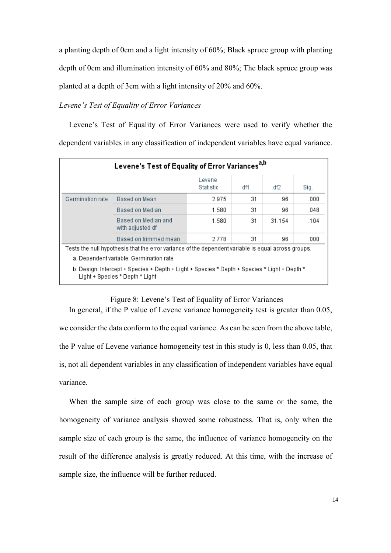a planting depth of 0cm and a light intensity of 60%; Black spruce group with planting depth of 0cm and illumination intensity of 60% and 80%; The black spruce group was planted at a depth of 3cm with a light intensity of 20% and 60%.

## *Levene's Test of Equality of Error Variances*

Levene's Test of Equality of Error Variances were used to verify whether the dependent variables in any classification of independent variables have equal variance.

| Levene's Test of Equality of Error Variances <sup>a,b</sup>                                         |                                                                                                                                 |                     |     |        |      |  |  |
|-----------------------------------------------------------------------------------------------------|---------------------------------------------------------------------------------------------------------------------------------|---------------------|-----|--------|------|--|--|
|                                                                                                     |                                                                                                                                 | Levene<br>Statistic | df1 | df2    | Sig. |  |  |
| Germination rate                                                                                    | Based on Mean                                                                                                                   | 2.975               | 31  | 96     | .000 |  |  |
|                                                                                                     | Based on Median                                                                                                                 | 1.580               | 31  | 96     | .048 |  |  |
|                                                                                                     | Based on Median and<br>with adjusted df                                                                                         | 1.580               | 31  | 31.154 | .104 |  |  |
|                                                                                                     | Based on trimmed mean                                                                                                           | 2.778               | 31  | 96     | .000 |  |  |
| Tests the null hypothesis that the error variance of the dependent variable is equal across groups. |                                                                                                                                 |                     |     |        |      |  |  |
| a. Dependent variable: Germination rate                                                             |                                                                                                                                 |                     |     |        |      |  |  |
|                                                                                                     | b. Design: Intercept + Species + Depth + Light + Species * Depth + Species * Light + Depth *<br>Light + Species * Depth * Light |                     |     |        |      |  |  |

#### Figure 8: Levene's Test of Equality of Error Variances

In general, if the P value of Levene variance homogeneity test is greater than 0.05, we consider the data conform to the equal variance. As can be seen from the above table, the P value of Levene variance homogeneity test in this study is 0, less than 0.05, that is, not all dependent variables in any classification of independent variables have equal variance.

When the sample size of each group was close to the same or the same, the homogeneity of variance analysis showed some robustness. That is, only when the sample size of each group is the same, the influence of variance homogeneity on the result of the difference analysis is greatly reduced. At this time, with the increase of sample size, the influence will be further reduced.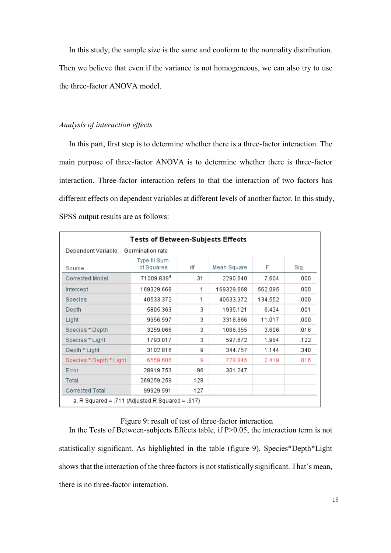In this study, the sample size is the same and conform to the normality distribution. Then we believe that even if the variance is not homogeneous, we can also try to use the three-factor ANOVA model.

## *Analysis of interaction effects*

In this part, first step is to determine whether there is a three-factor interaction. The main purpose of three-factor ANOVA is to determine whether there is three-factor interaction. Three-factor interaction refers to that the interaction of two factors has different effects on dependent variables at different levels of another factor. In this study, SPSS output results are as follows:

| <b>Tests of Between-Subjects Effects</b>        |                            |     |             |         |      |  |  |
|-------------------------------------------------|----------------------------|-----|-------------|---------|------|--|--|
| Dependent Variable:                             | Germination rate           |     |             |         |      |  |  |
| Source                                          | Type III Sum<br>of Squares | df  | Mean Square | F       | Sig. |  |  |
| Corrected Model                                 | 71009.838 <sup>a</sup>     | 31  | 2290.640    | 7.604   | .000 |  |  |
| Intercept                                       | 169329.668                 | 1   | 169329.668  | 562.095 | .000 |  |  |
| <b>Species</b>                                  | 40533.372                  | 1   | 40533.372   | 134.552 | .000 |  |  |
| Depth                                           | 5805.363                   | 3   | 1935.121    | 6.424   | .001 |  |  |
| Light                                           | 9956.597                   | 3   | 3318.866    | 11.017  | .000 |  |  |
| Species * Depth                                 | 3259.066                   | 3   | 1086.355    | 3.606   | .016 |  |  |
| Species * Light                                 | 1793.017                   | 3   | 597.672     | 1.984   | .122 |  |  |
| Depth * Light                                   | 3102.816                   | 9   | 344.757     | 1.144   | .340 |  |  |
| Species * Depth * Light                         | 6559.606                   | 9   | 728.845     | 2.419   | .016 |  |  |
| Error                                           | 28919.753                  | 96  | 301.247     |         |      |  |  |
| Total                                           | 269259.259                 | 128 |             |         |      |  |  |
| Corrected Total                                 | 99929.591                  | 127 |             |         |      |  |  |
| a. R Squared = .711 (Adjusted R Squared = .617) |                            |     |             |         |      |  |  |

# Figure 9: result of test of three-factor interaction

In the Tests of Between-subjects Effects table, if P>0.05, the interaction term is not statistically significant. As highlighted in the table (figure 9), Species\*Depth\*Light shows that the interaction of the three factors is not statistically significant. That's mean, there is no three-factor interaction.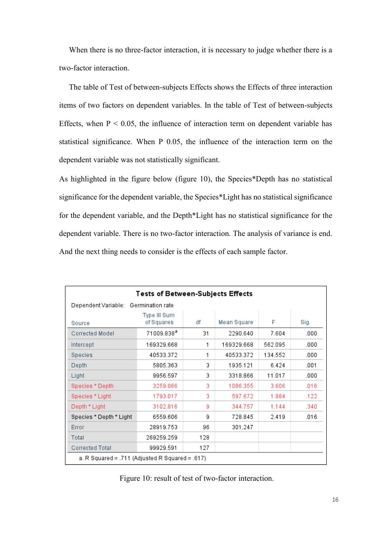When there is no three-factor interaction, it is necessary to judge whether there is a two-factor interaction.

 The table of Test of between-subjects Effects shows the Effects of three interaction items of two factors on dependent variables. In the table of Test of between-subjects Effects, when  $P < 0.05$ , the influence of interaction term on dependent variable has statistical significance. When P 0.05, the influence of the interaction term on the dependent variable was not statistically significant.

As highlighted in the figure below (figure 10), the Species\*Depth has no statistical significance for the dependent variable, the Species\*Light has no statistical significance for the dependent variable, and the Depth\*Light has no statistical significance for the dependent variable. There is no two-factor interaction. The analysis of variance is end. And the next thing needs to consider is the effects of each sample factor.

| <b>Tests of Between-Subjects Effects</b>        |                            |     |             |         |      |  |  |
|-------------------------------------------------|----------------------------|-----|-------------|---------|------|--|--|
| Dependent Variable:                             | Germination rate           |     |             |         |      |  |  |
| Source                                          | Type III Sum<br>of Squares | df  | Mean Square | F       | Sig. |  |  |
| Corrected Model                                 | 71009.838ª                 | 31  | 2290.640    | 7.604   | .000 |  |  |
| Intercept                                       | 169329.668                 | 1   | 169329.668  | 562.095 | .000 |  |  |
| Species                                         | 40533.372                  | 1   | 40533.372   | 134.552 | .000 |  |  |
| Depth                                           | 5805.363                   | 3   | 1935.121    | 6.424   | .001 |  |  |
| Light                                           | 9956.597                   | 3   | 3318.866    | 11.017  | .000 |  |  |
| Species * Depth                                 | 3259.066                   | 3   | 1086.355    | 3.606   | .016 |  |  |
| Species * Light                                 | 1793.017                   | 3   | 597.672     | 1.984   | .122 |  |  |
| Depth * Light                                   | 3102.816                   | 9   | 344.757     | 1.144   | .340 |  |  |
| Species * Depth * Light                         | 6559.606                   | g   | 728.845     | 2.419   | .016 |  |  |
| Error                                           | 28919.753                  | 96  | 301.247     |         |      |  |  |
| Total                                           | 269259.259                 | 128 |             |         |      |  |  |
| Corrected Total                                 | 99929.591                  | 127 |             |         |      |  |  |
| a. R Squared = .711 (Adjusted R Squared = .617) |                            |     |             |         |      |  |  |

Figure 10: result of test of two-factor interaction.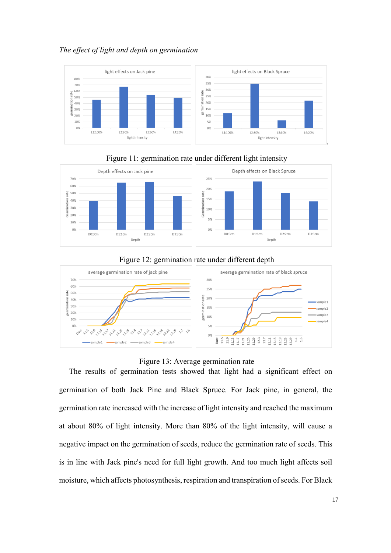## *The effect of light and depth on germination*





## Figure 11: germination rate under different light intensity

## Figure 12: germination rate under different depth



#### Figure 13: Average germination rate

The results of germination tests showed that light had a significant effect on germination of both Jack Pine and Black Spruce. For Jack pine, in general, the germination rate increased with the increase of light intensity and reached the maximum at about 80% of light intensity. More than 80% of the light intensity, will cause a negative impact on the germination of seeds, reduce the germination rate of seeds. This is in line with Jack pine's need for full light growth. And too much light affects soil moisture, which affects photosynthesis, respiration and transpiration of seeds. For Black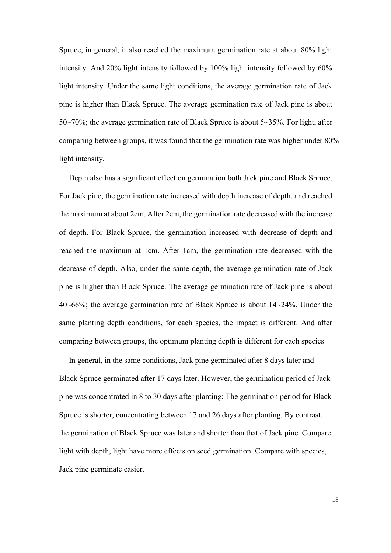Spruce, in general, it also reached the maximum germination rate at about 80% light intensity. And 20% light intensity followed by 100% light intensity followed by 60% light intensity. Under the same light conditions, the average germination rate of Jack pine is higher than Black Spruce. The average germination rate of Jack pine is about 50~70%; the average germination rate of Black Spruce is about 5~35%. For light, after comparing between groups, it was found that the germination rate was higher under 80% light intensity.

 Depth also has a significant effect on germination both Jack pine and Black Spruce. For Jack pine, the germination rate increased with depth increase of depth, and reached the maximum at about 2cm. After 2cm, the germination rate decreased with the increase of depth. For Black Spruce, the germination increased with decrease of depth and reached the maximum at 1cm. After 1cm, the germination rate decreased with the decrease of depth. Also, under the same depth, the average germination rate of Jack pine is higher than Black Spruce. The average germination rate of Jack pine is about 40~66%; the average germination rate of Black Spruce is about 14~24%. Under the same planting depth conditions, for each species, the impact is different. And after comparing between groups, the optimum planting depth is different for each species

 In general, in the same conditions, Jack pine germinated after 8 days later and Black Spruce germinated after 17 days later. However, the germination period of Jack pine was concentrated in 8 to 30 days after planting; The germination period for Black Spruce is shorter, concentrating between 17 and 26 days after planting. By contrast, the germination of Black Spruce was later and shorter than that of Jack pine. Compare light with depth, light have more effects on seed germination. Compare with species, Jack pine germinate easier.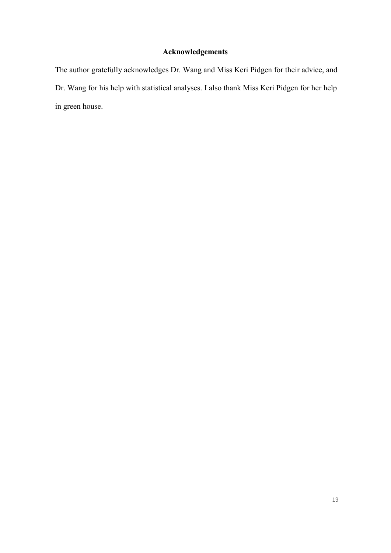# **Acknowledgements**

The author gratefully acknowledges Dr. Wang and Miss Keri Pidgen for their advice, and Dr. Wang for his help with statistical analyses. I also thank Miss Keri Pidgen for her help in green house.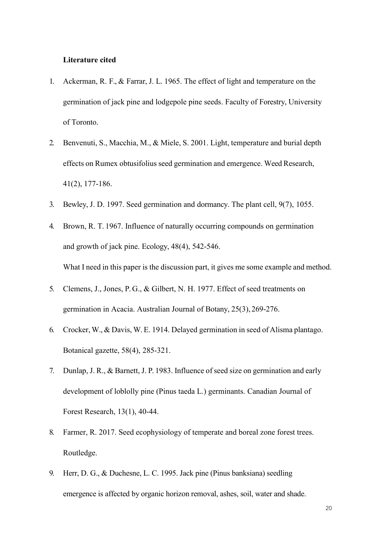#### **Literature cited**

- 1. Ackerman, R. F., & Farrar, J. L. 1965. The effect of light and temperature on the germination of jack pine and lodgepole pine seeds. Faculty of Forestry, University of Toronto.
- 2. Benvenuti, S., Macchia, M., & Miele, S. 2001. Light, temperature and burial depth effects on Rumex obtusifolius seed germination and emergence. Weed Research, 41(2), 177-186.
- 3. Bewley, J. D. 1997. Seed germination and dormancy. The plant cell, 9(7), 1055.
- 4. Brown, R. T. 1967. Influence of naturally occurring compounds on germination and growth of jack pine. Ecology, 48(4), 542-546. What I need in this paper is the discussion part, it gives me some example and method.
- 5. Clemens, J., Jones, P. G., & Gilbert, N. H. 1977. Effect of seed treatments on germination in Acacia. Australian Journal of Botany, 25(3), 269-276.
- 6. Crocker, W., & Davis, W. E. 1914. Delayed germination in seed of Alisma plantago. Botanical gazette, 58(4), 285-321.
- 7. Dunlap, J. R., & Barnett, J. P. 1983. Influence of seed size on germination and early development of loblolly pine (Pinus taeda L.) germinants. Canadian Journal of Forest Research, 13(1), 40-44.
- 8. Farmer, R. 2017. Seed ecophysiology of temperate and boreal zone forest trees. Routledge.
- 9. Herr, D. G., & Duchesne, L. C. 1995. Jack pine (Pinus banksiana) seedling emergence is affected by organic horizon removal, ashes, soil, water and shade.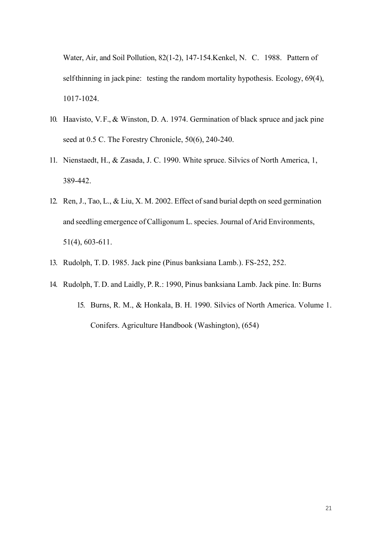Water, Air, and Soil Pollution, 82(1-2), 147-154.Kenkel, N. C. 1988. Pattern of self-thinning in jack pine: testing the random mortality hypothesis. Ecology, 69(4), 1017-1024.

- 10. Haavisto, V. F., & Winston, D. A. 1974. Germination of black spruce and jack pine seed at 0.5 C. The Forestry Chronicle, 50(6), 240-240.
- 11. Nienstaedt, H., & Zasada, J. C. 1990. White spruce. Silvics of North America, 1, 389-442.
- 12. Ren, J., Tao, L., & Liu, X. M. 2002. Effect of sand burial depth on seed germination and seedling emergence of Calligonum L. species. Journal of Arid Environments, 51(4), 603-611.
- 13. Rudolph, T. D. 1985. Jack pine (Pinus banksiana Lamb.). FS-252, 252.
- 14. Rudolph, T. D. and Laidly, P.R.: 1990, Pinus banksiana Lamb. Jack pine. In: Burns 15. Burns, R. M., & Honkala, B. H. 1990. Silvics of North America. Volume 1. Conifers. Agriculture Handbook (Washington), (654)